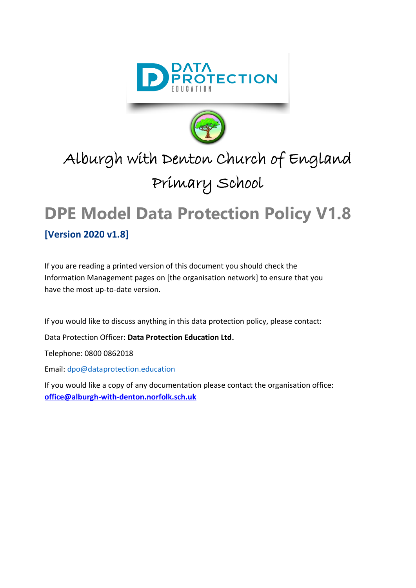



# Alburgh with Denton Church of England Primary School

### **DPE Model Data Protection Policy V1.8 [Version 2020 v1.8]**

If you are reading a printed version of this document you should check the Information Management pages on [the organisation network] to ensure that you have the most up-to-date version.

If you would like to discuss anything in this data protection policy, please contact:

Data Protection Officer: **Data Protection Education Ltd.**

Telephone: 0800 0862018

Email: [dpo@dataprotection.education](mailto:dpo@dataprotection.education)

If you would like a copy of any documentation please contact the organisation office: **[office@alburgh-with-denton.norfolk.sch.uk](mailto:office@alburgh-with-denton.norfolk.sch.uk)**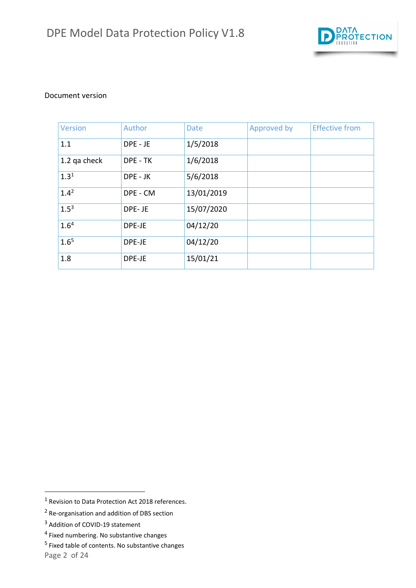

#### Document version

| <b>Version</b>   | Author   | <b>Date</b> | Approved by | <b>Effective from</b> |
|------------------|----------|-------------|-------------|-----------------------|
| 1.1              | DPE - JE | 1/5/2018    |             |                       |
| 1.2 qa check     | DPE - TK | 1/6/2018    |             |                       |
| $1.3^{1}$        | DPE - JK | 5/6/2018    |             |                       |
| $1.4^{2}$        | DPE - CM | 13/01/2019  |             |                       |
| $1.5^{3}$        | DPE-JE   | 15/07/2020  |             |                       |
| 1.6 <sup>4</sup> | DPE-JE   | 04/12/20    |             |                       |
| $1.6^{5}$        | DPE-JE   | 04/12/20    |             |                       |
| 1.8              | DPE-JE   | 15/01/21    |             |                       |

<sup>1</sup> Revision to Data Protection Act 2018 references.

<sup>2</sup> Re-organisation and addition of DBS section

<sup>3</sup> Addition of COVID-19 statement

<sup>&</sup>lt;sup>4</sup> Fixed numbering. No substantive changes

<sup>&</sup>lt;sup>5</sup> Fixed table of contents. No substantive changes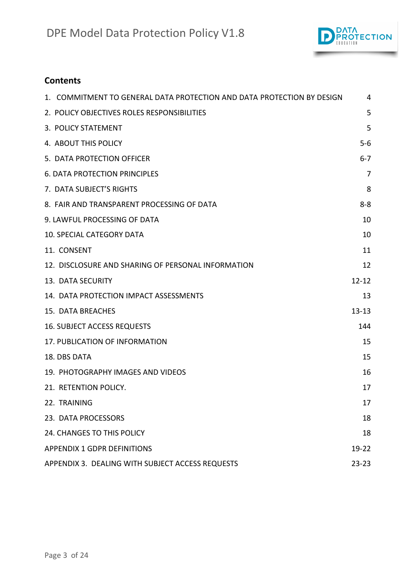

#### **Contents**

| 1. COMMITMENT TO GENERAL DATA PROTECTION AND DATA PROTECTION BY DESIGN | 4         |
|------------------------------------------------------------------------|-----------|
| 2. POLICY OBJECTIVES ROLES RESPONSIBILITIES                            | 5         |
| 3. POLICY STATEMENT                                                    | 5         |
| 4. ABOUT THIS POLICY                                                   | $5-6$     |
| 5. DATA PROTECTION OFFICER                                             | $6 - 7$   |
| <b>6. DATA PROTECTION PRINCIPLES</b>                                   | 7         |
| 7. DATA SUBJECT'S RIGHTS                                               | 8         |
| 8. FAIR AND TRANSPARENT PROCESSING OF DATA                             | $8 - 8$   |
| 9. LAWFUL PROCESSING OF DATA                                           | 10        |
| <b>10. SPECIAL CATEGORY DATA</b>                                       | 10        |
| 11. CONSENT                                                            | 11        |
| 12. DISCLOSURE AND SHARING OF PERSONAL INFORMATION                     | 12        |
| 13. DATA SECURITY                                                      | $12 - 12$ |
| 14. DATA PROTECTION IMPACT ASSESSMENTS                                 | 13        |
| 15. DATA BREACHES                                                      | $13 - 13$ |
| <b>16. SUBJECT ACCESS REQUESTS</b>                                     | 144       |
| 17. PUBLICATION OF INFORMATION                                         | 15        |
| 18. DBS DATA                                                           | 15        |
| 19. PHOTOGRAPHY IMAGES AND VIDEOS                                      | 16        |
| 21. RETENTION POLICY.                                                  | 17        |
| 22. TRAINING                                                           | 17        |
| 23. DATA PROCESSORS                                                    | 18        |
| 24. CHANGES TO THIS POLICY                                             | 18        |
| <b>APPENDIX 1 GDPR DEFINITIONS</b>                                     | $19 - 22$ |
| APPENDIX 3. DEALING WITH SUBJECT ACCESS REQUESTS                       | $23 - 23$ |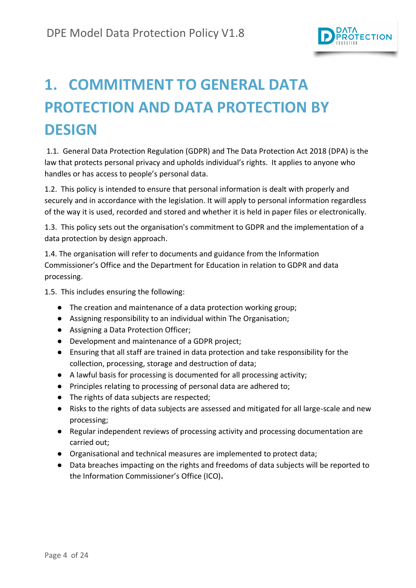

# <span id="page-3-0"></span>**1. COMMITMENT TO GENERAL DATA PROTECTION AND DATA PROTECTION BY DESIGN**

1.1. General Data Protection Regulation (GDPR) and The Data Protection Act 2018 (DPA) is the law that protects personal privacy and upholds individual's rights. It applies to anyone who handles or has access to people's personal data.

1.2. This policy is intended to ensure that personal information is dealt with properly and securely and in accordance with the legislation. It will apply to personal information regardless of the way it is used, recorded and stored and whether it is held in paper files or electronically.

1.3. This policy sets out the organisation's commitment to GDPR and the implementation of a data protection by design approach.

1.4. The organisation will refer to documents and guidance from the Information Commissioner's Office and the Department for Education in relation to GDPR and data processing.

1.5. This includes ensuring the following:

- The creation and maintenance of a data protection working group;
- Assigning responsibility to an individual within The Organisation;
- Assigning a Data Protection Officer;
- Development and maintenance of a GDPR project;
- Ensuring that all staff are trained in data protection and take responsibility for the collection, processing, storage and destruction of data;
- A lawful basis for processing is documented for all processing activity;
- Principles relating to processing of personal data are adhered to;
- The rights of data subjects are respected;
- Risks to the rights of data subjects are assessed and mitigated for all large-scale and new processing;
- Regular independent reviews of processing activity and processing documentation are carried out;
- Organisational and technical measures are implemented to protect data;
- <span id="page-3-1"></span>● Data breaches impacting on the rights and freedoms of data subjects will be reported to the Information Commissioner's Office (ICO)**.**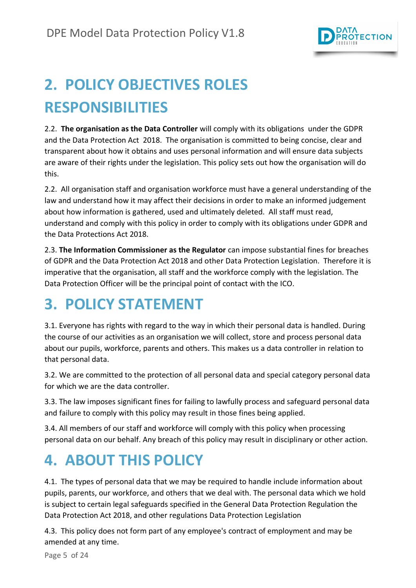

# **2. POLICY OBJECTIVES ROLES RESPONSIBILITIES**

2.2. **The organisation as the Data Controller** will comply with its obligations under the GDPR and the Data Protection Act 2018. The organisation is committed to being concise, clear and transparent about how it obtains and uses personal information and will ensure data subjects are aware of their rights under the legislation. This policy sets out how the organisation will do this.

2.2. All organisation staff and organisation workforce must have a general understanding of the law and understand how it may affect their decisions in order to make an informed judgement about how information is gathered, used and ultimately deleted. All staff must read, understand and comply with this policy in order to comply with its obligations under GDPR and the Data Protections Act 2018.

2.3. **The Information Commissioner as the Regulator** can impose substantial fines for breaches of GDPR and the Data Protection Act 2018 and other Data Protection Legislation. Therefore it is imperative that the organisation, all staff and the workforce comply with the legislation. The Data Protection Officer will be the principal point of contact with the ICO.

### <span id="page-4-0"></span>**3. POLICY STATEMENT**

3.1. Everyone has rights with regard to the way in which their personal data is handled. During the course of our activities as an organisation we will collect, store and process personal data about our pupils, workforce, parents and others. This makes us a data controller in relation to that personal data.

3.2. We are committed to the protection of all personal data and special category personal data for which we are the data controller.

3.3. The law imposes significant fines for failing to lawfully process and safeguard personal data and failure to comply with this policy may result in those fines being applied.

3.4. All members of our staff and workforce will comply with this policy when processing personal data on our behalf. Any breach of this policy may result in disciplinary or other action.

## <span id="page-4-1"></span>**4. ABOUT THIS POLICY**

4.1. The types of personal data that we may be required to handle include information about pupils, parents, our workforce, and others that we deal with. The personal data which we hold is subject to certain legal safeguards specified in the General Data Protection Regulation the Data Protection Act 2018, and other regulations Data Protection Legislation

4.3. This policy does not form part of any employee's contract of employment and may be amended at any time.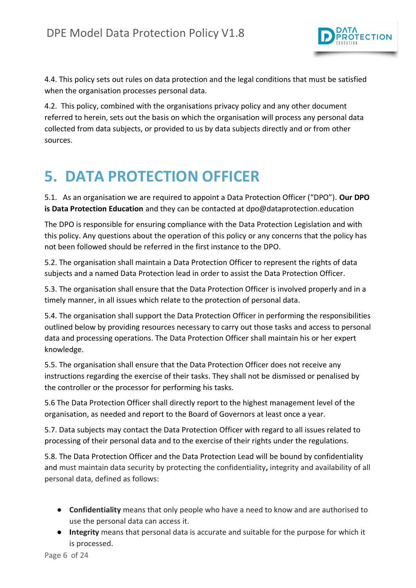

4.4. This policy sets out rules on data protection and the legal conditions that must be satisfied when the organisation processes personal data.

4.2. This policy, combined with the organisations privacy policy and any other document referred to herein, sets out the basis on which the organisation will process any personal data collected from data subjects, or provided to us by data subjects directly and or from other sources.

## <span id="page-5-0"></span>**5. DATA PROTECTION OFFICER**

5.1. As an organisation we are required to appoint a Data Protection Officer ("DPO"). **Our DPO is Data Protection Education** and they can be contacted at dpo@dataprotection.education

The DPO is responsible for ensuring compliance with the Data Protection Legislation and with this policy. Any questions about the operation of this policy or any concerns that the policy has not been followed should be referred in the first instance to the DPO.

5.2. The organisation shall maintain a Data Protection Officer to represent the rights of data subjects and a named Data Protection lead in order to assist the Data Protection Officer.

5.3. The organisation shall ensure that the Data Protection Officer is involved properly and in a timely manner, in all issues which relate to the protection of personal data.

5.4. The organisation shall support the Data Protection Officer in performing the responsibilities outlined below by providing resources necessary to carry out those tasks and access to personal data and processing operations. The Data Protection Officer shall maintain his or her expert knowledge.

5.5. The organisation shall ensure that the Data Protection Officer does not receive any instructions regarding the exercise of their tasks. They shall not be dismissed or penalised by the controller or the processor for performing his tasks.

5.6 The Data Protection Officer shall directly report to the highest management level of the organisation, as needed and report to the Board of Governors at least once a year.

5.7. Data subjects may contact the Data Protection Officer with regard to all issues related to processing of their personal data and to the exercise of their rights under the regulations.

5.8. The Data Protection Officer and the Data Protection Lead will be bound by confidentiality and must maintain data security by protecting the confidentiality**,** integrity and availability of all personal data, defined as follows:

- **Confidentiality** means that only people who have a need to know and are authorised to use the personal data can access it.
- **Integrity** means that personal data is accurate and suitable for the purpose for which it is processed.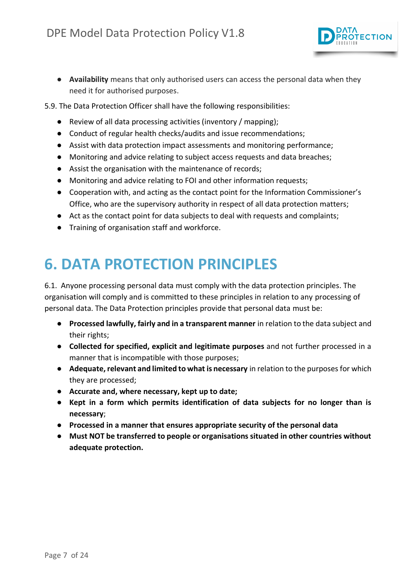

- **Availability** means that only authorised users can access the personal data when they need it for authorised purposes.
- 5.9. The Data Protection Officer shall have the following responsibilities:
	- Review of all data processing activities (inventory / mapping);
	- Conduct of regular health checks/audits and issue recommendations;
	- Assist with data protection impact assessments and monitoring performance;
	- Monitoring and advice relating to subject access requests and data breaches;
	- Assist the organisation with the maintenance of records;
	- Monitoring and advice relating to FOI and other information requests;
	- Cooperation with, and acting as the contact point for the Information Commissioner's Office, who are the supervisory authority in respect of all data protection matters;
	- Act as the contact point for data subjects to deal with requests and complaints;
	- Training of organisation staff and workforce.

### <span id="page-6-0"></span>**6. DATA PROTECTION PRINCIPLES**

6.1. Anyone processing personal data must comply with the data protection principles. The organisation will comply and is committed to these principles in relation to any processing of personal data. The Data Protection principles provide that personal data must be:

- **Processed lawfully, fairly and in a transparent manner** in relation to the data subject and their rights;
- **Collected for specified, explicit and legitimate purposes** and not further processed in a manner that is incompatible with those purposes;
- **Adequate, relevant and limited to what is necessary** in relation to the purposes for which they are processed;
- **Accurate and, where necessary, kept up to date;**
- **Kept in a form which permits identification of data subjects for no longer than is necessary**;
- **Processed in a manner that ensures appropriate security of the personal data**
- **Must NOT be transferred to people or organisations situated in other countries without adequate protection.**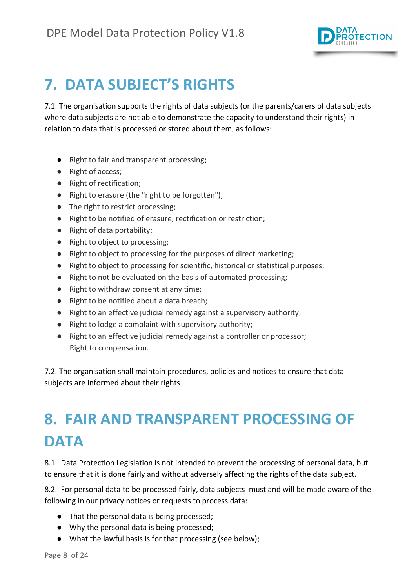

## <span id="page-7-0"></span>**7. DATA SUBJECT'S RIGHTS**

7.1. The organisation supports the rights of data subjects (or the parents/carers of data subjects where data subjects are not able to demonstrate the capacity to understand their rights) in relation to data that is processed or stored about them, as follows:

- Right to fair and transparent processing;
- Right of access;
- Right of rectification;
- Right to erasure (the "right to be forgotten");
- The right to restrict processing;
- Right to be notified of erasure, rectification or restriction;
- Right of data portability;
- Right to object to processing;
- Right to object to processing for the purposes of direct marketing;
- Right to object to processing for scientific, historical or statistical purposes;
- Right to not be evaluated on the basis of automated processing;
- Right to withdraw consent at any time;
- Right to be notified about a data breach;
- Right to an effective judicial remedy against a supervisory authority;
- Right to lodge a complaint with supervisory authority;
- Right to an effective judicial remedy against a controller or processor; Right to compensation.

7.2. The organisation shall maintain procedures, policies and notices to ensure that data subjects are informed about their rights

# <span id="page-7-1"></span>**8. FAIR AND TRANSPARENT PROCESSING OF DATA**

8.1. Data Protection Legislation is not intended to prevent the processing of personal data, but to ensure that it is done fairly and without adversely affecting the rights of the data subject.

8.2. For personal data to be processed fairly, data subjects must and will be made aware of the following in our privacy notices or requests to process data:

- That the personal data is being processed;
- Why the personal data is being processed;
- What the lawful basis is for that processing (see below);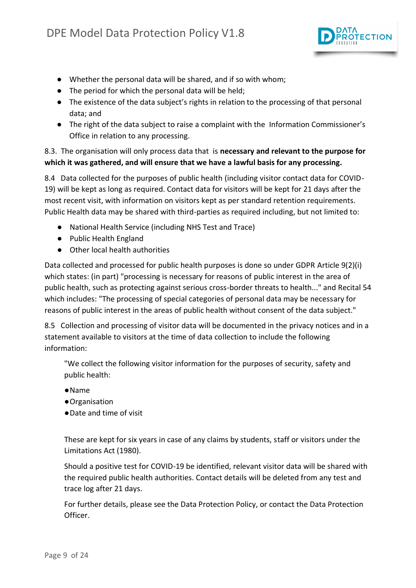

- Whether the personal data will be shared, and if so with whom;
- The period for which the personal data will be held;
- The existence of the data subject's rights in relation to the processing of that personal data; and
- The right of the data subject to raise a complaint with the Information Commissioner's Office in relation to any processing.

8.3. The organisation will only process data that is **necessary and relevant to the purpose for which it was gathered, and will ensure that we have a lawful basis for any processing.**

8.4 Data collected for the purposes of public health (including visitor contact data for COVID-19) will be kept as long as required. Contact data for visitors will be kept for 21 days after the most recent visit, with information on visitors kept as per standard retention requirements. Public Health data may be shared with third-parties as required including, but not limited to:

- National Health Service (including NHS Test and Trace)
- Public Health England
- Other local health authorities

Data collected and processed for public health purposes is done so under GDPR [Article 9\(2\)\(i\)](https://gdpr-info.eu/art-9-gdpr/) which states: (in part) "processing is necessary for reasons of [public interest](https://kb.dataprotection.education/component/seoglossary/1-data-protection-definitions/public-interest) in the area of public health, such as protecting against serious cross-border threats to health..." and [Recital 54](https://gdpr-info.eu/recitals/no-54/) which includes: "The processing of special categories of personal data may be necessary for reasons of public interest in the areas of public health without consent of the data subject."

8.5 Collection and processing of visitor data will be documented in the privacy notices and in a statement available to visitors at the time of data collection to include the following information:

"We collect the following visitor information for the purposes of security, safety and public health:

- ●Name
- ●Organisation
- ●Date and time of visit

These are kept for six years in case of any claims by students, staff or visitors under the Limitations Act (1980).

Should a positive test for COVID-19 be identified, relevant visitor data will be shared with the required public health authorities. Contact details will be deleted from any test and trace log after 21 days.

For further details, please see the Data Protection Policy, or contact the Data Protection Officer.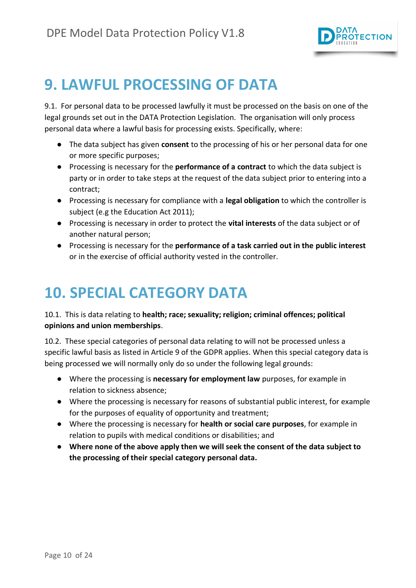

## <span id="page-9-0"></span>**9. LAWFUL PROCESSING OF DATA**

9.1. For personal data to be processed lawfully it must be processed on the basis on one of the legal grounds set out in the DATA Protection Legislation. The organisation will only process personal data where a lawful basis for processing exists. Specifically, where:

- The data subject has given **consent** to the processing of his or her personal data for one or more specific purposes;
- Processing is necessary for the **performance of a contract** to which the data subject is party or in order to take steps at the request of the data subject prior to entering into a contract;
- Processing is necessary for compliance with a **legal obligation** to which the controller is subject (e.g the Education Act 2011);
- Processing is necessary in order to protect the **vital interests** of the data subject or of another natural person;
- Processing is necessary for the **performance of a task carried out in the public interest** or in the exercise of official authority vested in the controller.

# <span id="page-9-1"></span>**10. SPECIAL CATEGORY DATA**

#### 10.1. This is data relating to **health; race; sexuality; religion; criminal offences; political opinions and union memberships**.

10.2. These special categories of personal data relating to will not be processed unless a specific lawful basis as listed in Article 9 of the GDPR applies. When this special category data is being processed we will normally only do so under the following legal grounds:

- Where the processing is **necessary for employment law** purposes, for example in relation to sickness absence;
- Where the processing is necessary for reasons of substantial public interest, for example for the purposes of equality of opportunity and treatment;
- Where the processing is necessary for **health or social care purposes**, for example in relation to pupils with medical conditions or disabilities; and
- <span id="page-9-2"></span>● **Where none of the above apply then we will seek the consent of the data subject to the processing of their special category personal data.**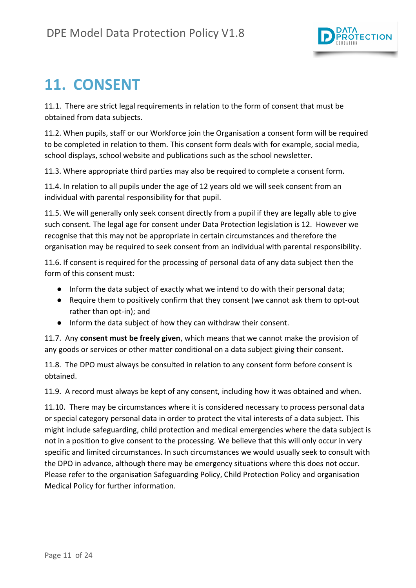

### **11. CONSENT**

11.1. There are strict legal requirements in relation to the form of consent that must be obtained from data subjects.

11.2. When pupils, staff or our Workforce join the Organisation a consent form will be required to be completed in relation to them. This consent form deals with for example, social media, school displays, school website and publications such as the school newsletter.

11.3. Where appropriate third parties may also be required to complete a consent form.

11.4. In relation to all pupils under the age of 12 years old we will seek consent from an individual with parental responsibility for that pupil.

11.5. We will generally only seek consent directly from a pupil if they are legally able to give such consent. The legal age for consent under Data Protection legislation is 12. However we recognise that this may not be appropriate in certain circumstances and therefore the organisation may be required to seek consent from an individual with parental responsibility.

11.6. If consent is required for the processing of personal data of any data subject then the form of this consent must:

- Inform the data subject of exactly what we intend to do with their personal data;
- Require them to positively confirm that they consent (we cannot ask them to opt-out rather than opt-in); and
- Inform the data subject of how they can withdraw their consent.

11.7. Any **consent must be freely given**, which means that we cannot make the provision of any goods or services or other matter conditional on a data subject giving their consent.

11.8. The DPO must always be consulted in relation to any consent form before consent is obtained.

11.9. A record must always be kept of any consent, including how it was obtained and when.

11.10.There may be circumstances where it is considered necessary to process personal data or special category personal data in order to protect the vital interests of a data subject. This might include safeguarding, child protection and medical emergencies where the data subject is not in a position to give consent to the processing. We believe that this will only occur in very specific and limited circumstances. In such circumstances we would usually seek to consult with the DPO in advance, although there may be emergency situations where this does not occur. Please refer to the organisation Safeguarding Policy, Child Protection Policy and organisation Medical Policy for further information.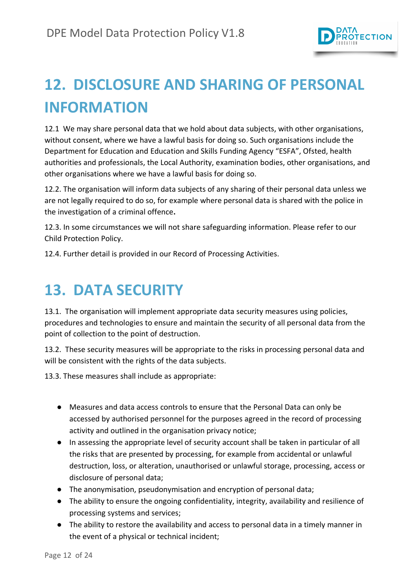

# <span id="page-11-0"></span>**12. DISCLOSURE AND SHARING OF PERSONAL INFORMATION**

12.1 We may share personal data that we hold about data subjects, with other organisations, without consent, where we have a lawful basis for doing so. Such organisations include the Department for Education and Education and Skills Funding Agency "ESFA", Ofsted, health authorities and professionals, the Local Authority, examination bodies, other organisations, and other organisations where we have a lawful basis for doing so.

12.2. The organisation will inform data subjects of any sharing of their personal data unless we are not legally required to do so, for example where personal data is shared with the police in the investigation of a criminal offence**.**

12.3. In some circumstances we will not share safeguarding information. Please refer to our Child Protection Policy.

12.4. Further detail is provided in our Record of Processing Activities.

## <span id="page-11-1"></span>**13. DATA SECURITY**

13.1. The organisation will implement appropriate data security measures using policies, procedures and technologies to ensure and maintain the security of all personal data from the point of collection to the point of destruction.

13.2. These security measures will be appropriate to the risks in processing personal data and will be consistent with the rights of the data subjects.

13.3. These measures shall include as appropriate:

- Measures and data access controls to ensure that the Personal Data can only be accessed by authorised personnel for the purposes agreed in the record of processing activity and outlined in the organisation privacy notice;
- In assessing the appropriate level of security account shall be taken in particular of all the risks that are presented by processing, for example from accidental or unlawful destruction, loss, or alteration, unauthorised or unlawful storage, processing, access or disclosure of personal data;
- The anonymisation, pseudonymisation and encryption of personal data;
- The ability to ensure the ongoing confidentiality, integrity, availability and resilience of processing systems and services;
- The ability to restore the availability and access to personal data in a timely manner in the event of a physical or technical incident;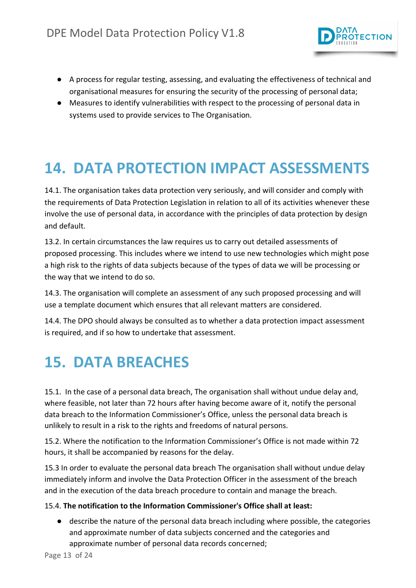

- A process for regular testing, assessing, and evaluating the effectiveness of technical and organisational measures for ensuring the security of the processing of personal data;
- Measures to identify vulnerabilities with respect to the processing of personal data in systems used to provide services to The Organisation.

### <span id="page-12-0"></span>**14. DATA PROTECTION IMPACT ASSESSMENTS**

14.1. The organisation takes data protection very seriously, and will consider and comply with the requirements of Data Protection Legislation in relation to all of its activities whenever these involve the use of personal data, in accordance with the principles of data protection by design and default.

13.2. In certain circumstances the law requires us to carry out detailed assessments of proposed processing. This includes where we intend to use new technologies which might pose a high risk to the rights of data subjects because of the types of data we will be processing or the way that we intend to do so.

14.3. The organisation will complete an assessment of any such proposed processing and will use a template document which ensures that all relevant matters are considered.

14.4. The DPO should always be consulted as to whether a data protection impact assessment is required, and if so how to undertake that assessment.

#### <span id="page-12-1"></span>**15. DATA BREACHES**

15.1. In the case of a personal data breach, The organisation shall without undue delay and, where feasible, not later than 72 hours after having become aware of it, notify the personal data breach to the Information Commissioner's Office, unless the personal data breach is unlikely to result in a risk to the rights and freedoms of natural persons.

15.2. Where the notification to the Information Commissioner's Office is not made within 72 hours, it shall be accompanied by reasons for the delay.

15.3 In order to evaluate the personal data breach The organisation shall without undue delay immediately inform and involve the Data Protection Officer in the assessment of the breach and in the execution of the data breach procedure to contain and manage the breach.

#### 15.4. **The notification to the Information Commissioner's Office shall at least:**

● describe the nature of the personal data breach including where possible, the categories and approximate number of data subjects concerned and the categories and approximate number of personal data records concerned;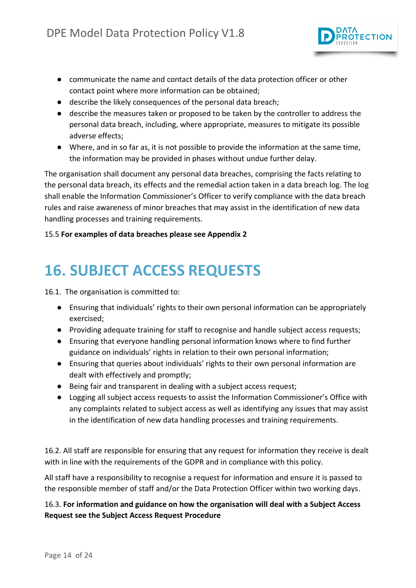

- communicate the name and contact details of the data protection officer or other contact point where more information can be obtained;
- describe the likely consequences of the personal data breach;
- describe the measures taken or proposed to be taken by the controller to address the personal data breach, including, where appropriate, measures to mitigate its possible adverse effects;
- Where, and in so far as, it is not possible to provide the information at the same time, the information may be provided in phases without undue further delay.

The organisation shall document any personal data breaches, comprising the facts relating to the personal data breach, its effects and the remedial action taken in a data breach log. The log shall enable the Information Commissioner's Officer to verify compliance with the data breach rules and raise awareness of minor breaches that may assist in the identification of new data handling processes and training requirements.

#### 15.5 **For examples of data breaches please see Appendix 2**

## <span id="page-13-0"></span>**16. SUBJECT ACCESS REQUESTS**

16.1. The organisation is committed to:

- Ensuring that individuals' rights to their own personal information can be appropriately exercised;
- Providing adequate training for staff to recognise and handle subject access requests;
- Ensuring that everyone handling personal information knows where to find further guidance on individuals' rights in relation to their own personal information;
- Ensuring that queries about individuals' rights to their own personal information are dealt with effectively and promptly;
- Being fair and transparent in dealing with a subject access request;
- Logging all subject access requests to assist the Information Commissioner's Office with any complaints related to subject access as well as identifying any issues that may assist in the identification of new data handling processes and training requirements.

16.2. All staff are responsible for ensuring that any request for information they receive is dealt with in line with the requirements of the GDPR and in compliance with this policy.

All staff have a responsibility to recognise a request for information and ensure it is passed to the responsible member of staff and/or the Data Protection Officer within two working days.

#### 16.3. **For information and guidance on how the organisation will deal with a Subject Access Request see the Subject Access Request Procedure**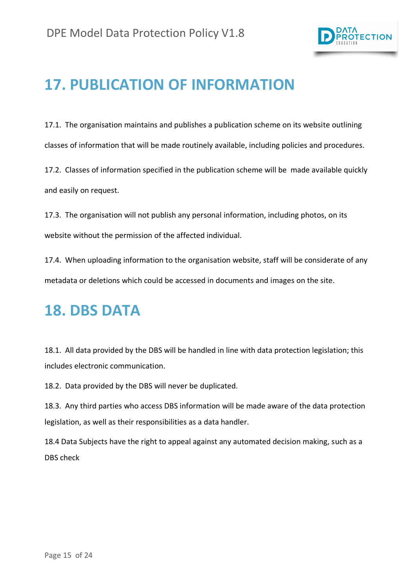

## <span id="page-14-0"></span>**17. PUBLICATION OF INFORMATION**

17.1. The organisation maintains and publishes a publication scheme on its website outlining

classes of information that will be made routinely available, including policies and procedures.

17.2. Classes of information specified in the publication scheme will be made available quickly and easily on request.

17.3. The organisation will not publish any personal information, including photos, on its website without the permission of the affected individual.

17.4. When uploading information to the organisation website, staff will be considerate of any metadata or deletions which could be accessed in documents and images on the site.

#### <span id="page-14-1"></span>**18. DBS DATA**

18.1. All data provided by the DBS will be handled in line with data protection legislation; this includes electronic communication.

18.2. Data provided by the DBS will never be duplicated.

18.3. Any third parties who access DBS information will be made aware of the data protection legislation, as well as their responsibilities as a data handler.

<span id="page-14-2"></span>18.4 Data Subjects have the right to appeal against any automated decision making, such as a DBS check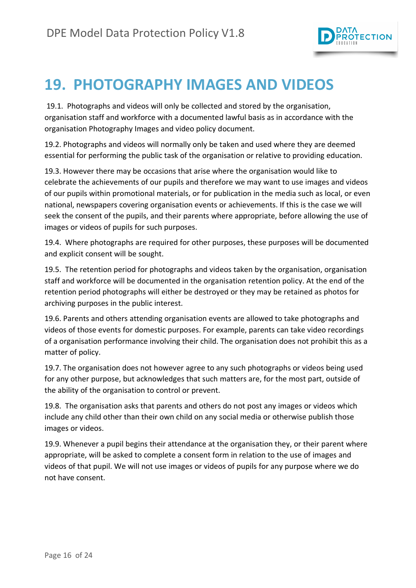

### **19. PHOTOGRAPHY IMAGES AND VIDEOS**

19.1. Photographs and videos will only be collected and stored by the organisation, organisation staff and workforce with a documented lawful basis as in accordance with the organisation Photography Images and video policy document.

19.2. Photographs and videos will normally only be taken and used where they are deemed essential for performing the public task of the organisation or relative to providing education.

19.3. However there may be occasions that arise where the organisation would like to celebrate the achievements of our pupils and therefore we may want to use images and videos of our pupils within promotional materials, or for publication in the media such as local, or even national, newspapers covering organisation events or achievements. If this is the case we will seek the consent of the pupils, and their parents where appropriate, before allowing the use of images or videos of pupils for such purposes.

19.4. Where photographs are required for other purposes, these purposes will be documented and explicit consent will be sought.

19.5. The retention period for photographs and videos taken by the organisation, organisation staff and workforce will be documented in the organisation retention policy. At the end of the retention period photographs will either be destroyed or they may be retained as photos for archiving purposes in the public interest.

19.6. Parents and others attending organisation events are allowed to take photographs and videos of those events for domestic purposes. For example, parents can take video recordings of a organisation performance involving their child. The organisation does not prohibit this as a matter of policy.

19.7. The organisation does not however agree to any such photographs or videos being used for any other purpose, but acknowledges that such matters are, for the most part, outside of the ability of the organisation to control or prevent.

19.8. The organisation asks that parents and others do not post any images or videos which include any child other than their own child on any social media or otherwise publish those images or videos.

19.9. Whenever a pupil begins their attendance at the organisation they, or their parent where appropriate, will be asked to complete a consent form in relation to the use of images and videos of that pupil. We will not use images or videos of pupils for any purpose where we do not have consent.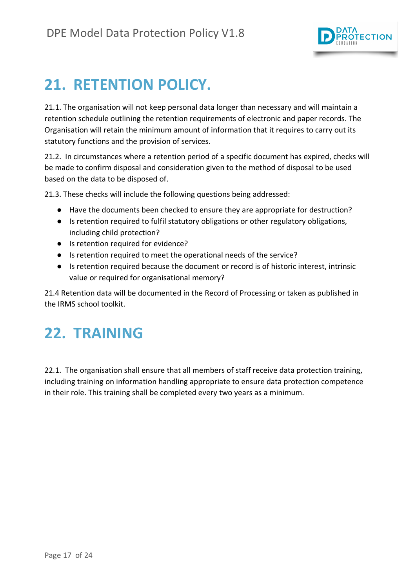

## <span id="page-16-0"></span>**21. RETENTION POLICY.**

21.1. The organisation will not keep personal data longer than necessary and will maintain a retention schedule outlining the retention requirements of electronic and paper records. The Organisation will retain the minimum amount of information that it requires to carry out its statutory functions and the provision of services.

21.2. In circumstances where a retention period of a specific document has expired, checks will be made to confirm disposal and consideration given to the method of disposal to be used based on the data to be disposed of.

21.3. These checks will include the following questions being addressed:

- Have the documents been checked to ensure they are appropriate for destruction?
- Is retention required to fulfil statutory obligations or other regulatory obligations, including child protection?
- Is retention required for evidence?
- Is retention required to meet the operational needs of the service?
- Is retention required because the document or record is of historic interest, intrinsic value or required for organisational memory?

21.4 Retention data will be documented in the Record of Processing or taken as published in the IRMS school toolkit.

## <span id="page-16-1"></span>**22. TRAINING**

<span id="page-16-2"></span>22.1. The organisation shall ensure that all members of staff receive data protection training, including training on information handling appropriate to ensure data protection competence in their role. This training shall be completed every two years as a minimum.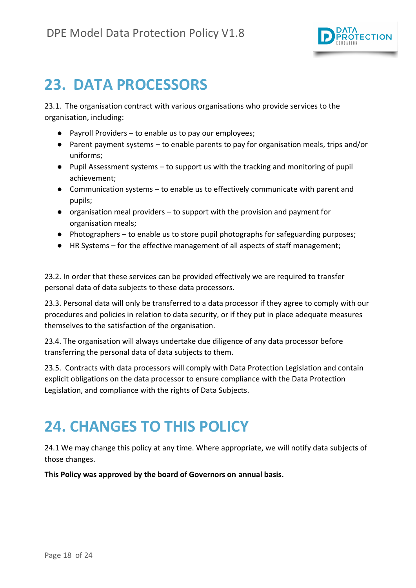

### **23. DATA PROCESSORS**

23.1. The organisation contract with various organisations who provide services to the organisation, including:

- Payroll Providers to enable us to pay our employees;
- Parent payment systems to enable parents to pay for organisation meals, trips and/or uniforms;
- Pupil Assessment systems to support us with the tracking and monitoring of pupil achievement;
- Communication systems to enable us to effectively communicate with parent and pupils;
- organisation meal providers to support with the provision and payment for organisation meals;
- Photographers to enable us to store pupil photographs for safeguarding purposes;
- HR Systems for the effective management of all aspects of staff management;

23.2. In order that these services can be provided effectively we are required to transfer personal data of data subjects to these data processors.

23.3. Personal data will only be transferred to a data processor if they agree to comply with our procedures and policies in relation to data security, or if they put in place adequate measures themselves to the satisfaction of the organisation.

23.4. The organisation will always undertake due diligence of any data processor before transferring the personal data of data subjects to them.

23.5. Contracts with data processors will comply with Data Protection Legislation and contain explicit obligations on the data processor to ensure compliance with the Data Protection Legislation, and compliance with the rights of Data Subjects.

### <span id="page-17-0"></span>**24. CHANGES TO THIS POLICY**

24.1 We may change this policy at any time. Where appropriate, we will notify data subject**s** of those changes.

**This Policy was approved by the board of Governors on annual basis.**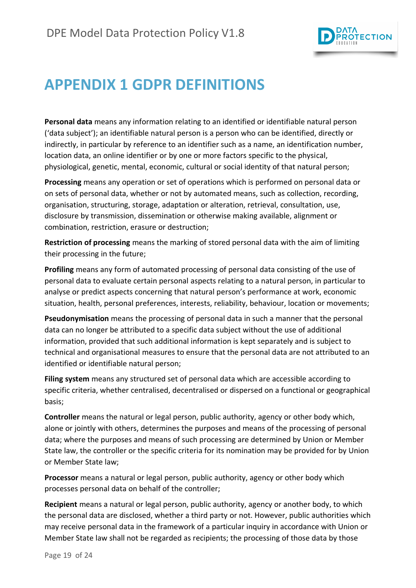

### <span id="page-18-0"></span>**APPENDIX 1 GDPR DEFINITIONS**

**Personal data** means any information relating to an identified or identifiable natural person ('data subject'); an identifiable natural person is a person who can be identified, directly or indirectly, in particular by reference to an identifier such as a name, an identification number, location data, an online identifier or by one or more factors specific to the physical, physiological, genetic, mental, economic, cultural or social identity of that natural person;

**Processing** means any operation or set of operations which is performed on personal data or on sets of personal data, whether or not by automated means, such as collection, recording, organisation, structuring, storage, adaptation or alteration, retrieval, consultation, use, disclosure by transmission, dissemination or otherwise making available, alignment or combination, restriction, erasure or destruction;

**Restriction of processing** means the marking of stored personal data with the aim of limiting their processing in the future;

**Profiling** means any form of automated processing of personal data consisting of the use of personal data to evaluate certain personal aspects relating to a natural person, in particular to analyse or predict aspects concerning that natural person's performance at work, economic situation, health, personal preferences, interests, reliability, behaviour, location or movements;

**Pseudonymisation** means the processing of personal data in such a manner that the personal data can no longer be attributed to a specific data subject without the use of additional information, provided that such additional information is kept separately and is subject to technical and organisational measures to ensure that the personal data are not attributed to an identified or identifiable natural person;

**Filing system** means any structured set of personal data which are accessible according to specific criteria, whether centralised, decentralised or dispersed on a functional or geographical basis;

**Controller** means the natural or legal person, public authority, agency or other body which, alone or jointly with others, determines the purposes and means of the processing of personal data; where the purposes and means of such processing are determined by Union or Member State law, the controller or the specific criteria for its nomination may be provided for by Union or Member State law;

**Processor** means a natural or legal person, public authority, agency or other body which processes personal data on behalf of the controller;

**Recipient** means a natural or legal person, public authority, agency or another body, to which the personal data are disclosed, whether a third party or not. However, public authorities which may receive personal data in the framework of a particular inquiry in accordance with Union or Member State law shall not be regarded as recipients; the processing of those data by those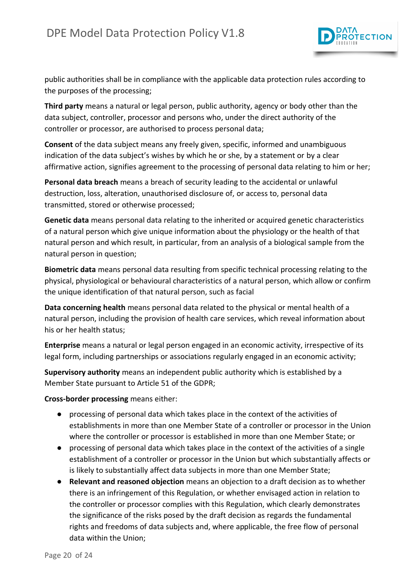

public authorities shall be in compliance with the applicable data protection rules according to the purposes of the processing;

**Third party** means a natural or legal person, public authority, agency or body other than the data subject, controller, processor and persons who, under the direct authority of the controller or processor, are authorised to process personal data;

**Consent** of the data subject means any freely given, specific, informed and unambiguous indication of the data subject's wishes by which he or she, by a statement or by a clear affirmative action, signifies agreement to the processing of personal data relating to him or her;

**Personal data breach** means a breach of security leading to the accidental or unlawful destruction, loss, alteration, unauthorised disclosure of, or access to, personal data transmitted, stored or otherwise processed;

**Genetic data** means personal data relating to the inherited or acquired genetic characteristics of a natural person which give unique information about the physiology or the health of that natural person and which result, in particular, from an analysis of a biological sample from the natural person in question;

**Biometric data** means personal data resulting from specific technical processing relating to the physical, physiological or behavioural characteristics of a natural person, which allow or confirm the unique identification of that natural person, such as facial

**Data concerning health** means personal data related to the physical or mental health of a natural person, including the provision of health care services, which reveal information about his or her health status;

**Enterprise** means a natural or legal person engaged in an economic activity, irrespective of its legal form, including partnerships or associations regularly engaged in an economic activity;

**Supervisory authority** means an independent public authority which is established by a Member State pursuant to Article 51 of the GDPR;

**Cross-border processing** means either:

- processing of personal data which takes place in the context of the activities of establishments in more than one Member State of a controller or processor in the Union where the controller or processor is established in more than one Member State; or
- processing of personal data which takes place in the context of the activities of a single establishment of a controller or processor in the Union but which substantially affects or is likely to substantially affect data subjects in more than one Member State;
- **Relevant and reasoned objection** means an objection to a draft decision as to whether there is an infringement of this Regulation, or whether envisaged action in relation to the controller or processor complies with this Regulation, which clearly demonstrates the significance of the risks posed by the draft decision as regards the fundamental rights and freedoms of data subjects and, where applicable, the free flow of personal data within the Union;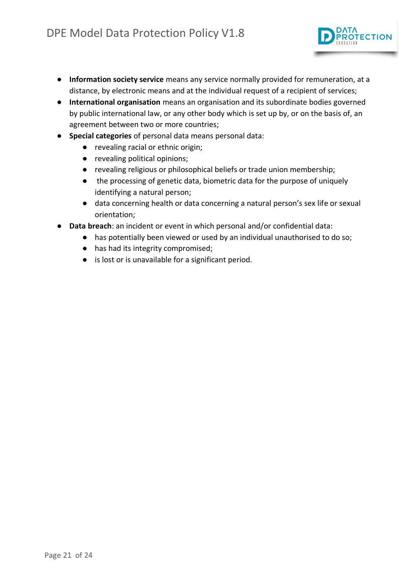

- **Information society service** means any service normally provided for remuneration, at a distance, by electronic means and at the individual request of a recipient of services;
- **International organisation** means an organisation and its subordinate bodies governed by public international law, or any other body which is set up by, or on the basis of, an agreement between two or more countries;
- **Special categories** of personal data means personal data:
	- revealing racial or ethnic origin;
	- revealing political opinions;
	- revealing religious or philosophical beliefs or trade union membership;
	- the processing of genetic data, biometric data for the purpose of uniquely identifying a natural person;
	- data concerning health or data concerning a natural person's sex life or sexual orientation;
- **Data breach**: an incident or event in which personal and/or confidential data:
	- has potentially been viewed or used by an individual unauthorised to do so;
	- has had its integrity compromised;
	- is lost or is unavailable for a significant period.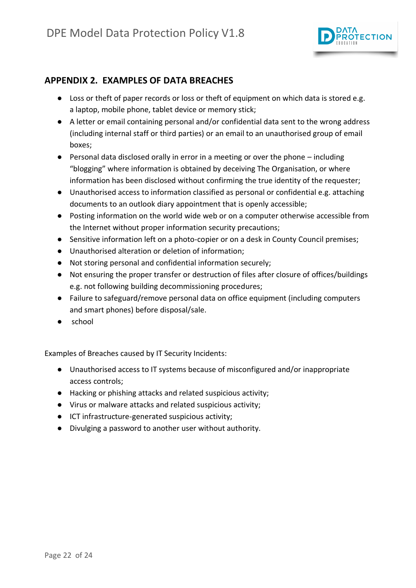

#### **APPENDIX 2. EXAMPLES OF DATA BREACHES**

- Loss or theft of paper records or loss or theft of equipment on which data is stored e.g. a laptop, mobile phone, tablet device or memory stick;
- A letter or email containing personal and/or confidential data sent to the wrong address (including internal staff or third parties) or an email to an unauthorised group of email boxes;
- Personal data disclosed orally in error in a meeting or over the phone including "blogging" where information is obtained by deceiving The Organisation, or where information has been disclosed without confirming the true identity of the requester;
- Unauthorised access to information classified as personal or confidential e.g. attaching documents to an outlook diary appointment that is openly accessible;
- Posting information on the world wide web or on a computer otherwise accessible from the Internet without proper information security precautions;
- Sensitive information left on a photo-copier or on a desk in County Council premises;
- Unauthorised alteration or deletion of information;
- Not storing personal and confidential information securely;
- Not ensuring the proper transfer or destruction of files after closure of offices/buildings e.g. not following building decommissioning procedures;
- Failure to safeguard/remove personal data on office equipment (including computers and smart phones) before disposal/sale.
- school

Examples of Breaches caused by IT Security Incidents:

- Unauthorised access to IT systems because of misconfigured and/or inappropriate access controls;
- Hacking or phishing attacks and related suspicious activity;
- Virus or malware attacks and related suspicious activity;
- ICT infrastructure-generated suspicious activity;
- Divulging a password to another user without authority.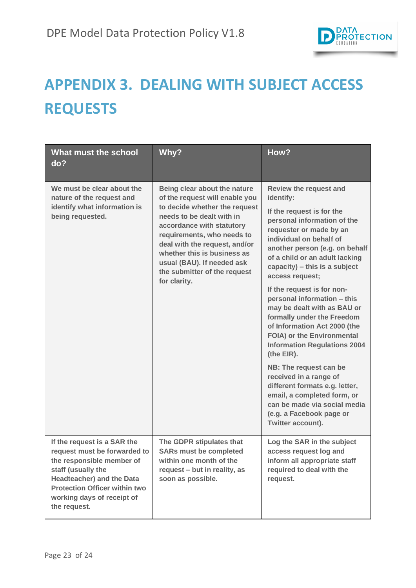

# <span id="page-22-0"></span>**APPENDIX 3. DEALING WITH SUBJECT ACCESS REQUESTS**

| What must the school<br>do?                                                                                                                                                                                                              | Why?                                                                                                                                                                                    | How?                                                                                                                                                                                                                                      |  |
|------------------------------------------------------------------------------------------------------------------------------------------------------------------------------------------------------------------------------------------|-----------------------------------------------------------------------------------------------------------------------------------------------------------------------------------------|-------------------------------------------------------------------------------------------------------------------------------------------------------------------------------------------------------------------------------------------|--|
| We must be clear about the<br>nature of the request and<br>identify what information is<br>being requested.                                                                                                                              | Being clear about the nature<br>of the request will enable you<br>to decide whether the request<br>needs to be dealt with in<br>accordance with statutory<br>requirements, who needs to | <b>Review the request and</b><br>identify:<br>If the request is for the<br>personal information of the<br>requester or made by an                                                                                                         |  |
|                                                                                                                                                                                                                                          | deal with the request, and/or<br>whether this is business as<br>usual (BAU). If needed ask<br>the submitter of the request<br>for clarity.                                              | individual on behalf of<br>another person (e.g. on behalf<br>of a child or an adult lacking<br>capacity) – this is a subject<br>access request;                                                                                           |  |
|                                                                                                                                                                                                                                          |                                                                                                                                                                                         | If the request is for non-<br>personal information - this<br>may be dealt with as BAU or<br>formally under the Freedom<br>of Information Act 2000 (the<br>FOIA) or the Environmental<br><b>Information Regulations 2004</b><br>(the EIR). |  |
|                                                                                                                                                                                                                                          |                                                                                                                                                                                         | NB: The request can be<br>received in a range of<br>different formats e.g. letter,<br>email, a completed form, or<br>can be made via social media<br>(e.g. a Facebook page or<br>Twitter account).                                        |  |
| If the request is a SAR the<br>request must be forwarded to<br>the responsible member of<br>staff (usually the<br><b>Headteacher) and the Data</b><br><b>Protection Officer within two</b><br>working days of receipt of<br>the request. | The GDPR stipulates that<br><b>SARs must be completed</b><br>within one month of the<br>request - but in reality, as<br>soon as possible.                                               | Log the SAR in the subject<br>access request log and<br>inform all appropriate staff<br>required to deal with the<br>request.                                                                                                             |  |